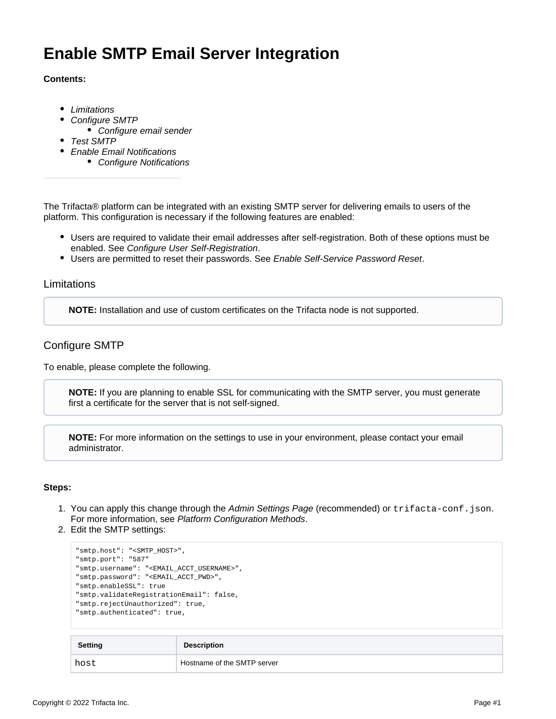# **Enable SMTP Email Server Integration**

#### **Contents:**

- [Limitations](#page-0-0)
- [Configure SMTP](#page-0-1)
	- [Configure email sender](#page-1-0)
- [Test SMTP](#page-1-1)
- [Enable Email Notifications](#page-2-0)
	- [Configure Notifications](#page-2-1)

The Trifacta® platform can be integrated with an existing SMTP server for delivering emails to users of the platform. This configuration is necessary if the following features are enabled:

- Users are required to validate their email addresses after self-registration. Both of these options must be enabled. See [Configure User Self-Registration](https://docs.trifacta.com/display/r076/Configure+User+Self-Registration).
- **Users are permitted to reset their passwords. See [Enable Self-Service Password Reset](https://docs.trifacta.com/display/r076/Enable+Self-Service+Password+Reset).**

#### <span id="page-0-0"></span>Limitations

**NOTE:** Installation and use of custom certificates on the Trifacta node is not supported.

## <span id="page-0-1"></span>Configure SMTP

To enable, please complete the following.

**NOTE:** If you are planning to enable SSL for communicating with the SMTP server, you must generate first a certificate for the server that is not self-signed.

**NOTE:** For more information on the settings to use in your environment, please contact your email administrator.

#### **Steps:**

- 1. You can apply this change through the [Admin Settings Page](https://docs.trifacta.com/display/r076/Admin+Settings+Page) (recommended) or trifacta-conf.json. For more information, see [Platform Configuration Methods](https://docs.trifacta.com/display/r076/Platform+Configuration+Methods).
- 2. Edit the SMTP settings:

```
"smtp.host": "<SMTP_HOST>",
"smtp.port": "587"
"smtp.username": "<EMAIL_ACCT_USERNAME>",
"smtp.password": "<EMAIL_ACCT_PWD>",
"smtp.enableSSL": true
"smtp.validateRegistrationEmail": false,
"smtp.rejectUnauthorized": true,
"smtp.authenticated": true,
```

| Setting | <b>Description</b>          |
|---------|-----------------------------|
| host    | Hostname of the SMTP server |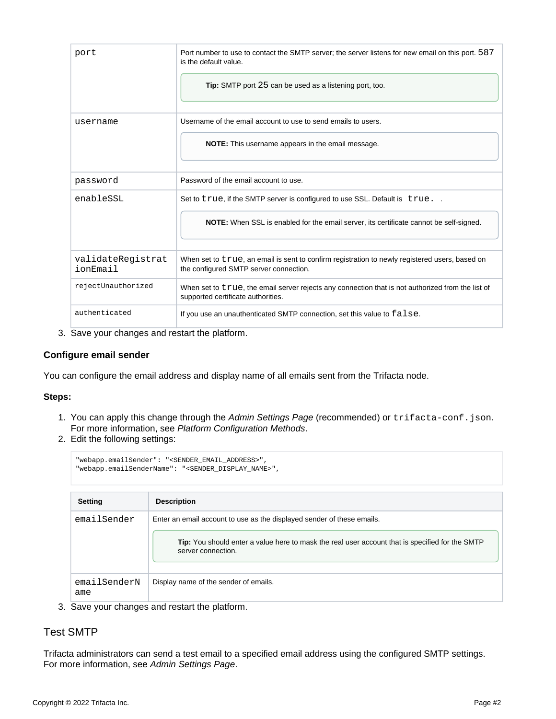| port                          | Port number to use to contact the SMTP server; the server listens for new email on this port. 587<br>is the default value.<br><b>Tip:</b> SMTP port 25 can be used as a listening port, too. |
|-------------------------------|----------------------------------------------------------------------------------------------------------------------------------------------------------------------------------------------|
| username                      | Username of the email account to use to send emails to users.                                                                                                                                |
|                               | <b>NOTE:</b> This username appears in the email message.                                                                                                                                     |
| password                      | Password of the email account to use.                                                                                                                                                        |
| enableSSL                     | Set to true, if the SMTP server is configured to use SSL. Default is true                                                                                                                    |
|                               | NOTE: When SSL is enabled for the email server, its certificate cannot be self-signed.                                                                                                       |
| validateReqistrat<br>ionEmail | When set to true, an email is sent to confirm registration to newly registered users, based on<br>the configured SMTP server connection.                                                     |
| rejectUnauthorized            | When set to true, the email server rejects any connection that is not authorized from the list of<br>supported certificate authorities.                                                      |
| authenticated                 | If you use an unauthenticated SMTP connection, set this value to false.                                                                                                                      |

3. Save your changes and restart the platform.

## <span id="page-1-0"></span>**Configure email sender**

You can configure the email address and display name of all emails sent from the Trifacta node.

#### **Steps:**

- 1. You can apply this change through the [Admin Settings Page](https://docs.trifacta.com/display/r076/Admin+Settings+Page) (recommended) or trifacta-conf.json. For more information, see [Platform Configuration Methods](https://docs.trifacta.com/display/r076/Platform+Configuration+Methods).
- 2. Edit the following settings:

```
"webapp.emailSender": "<SENDER_EMAIL_ADDRESS>",
"webapp.emailSenderName": "<SENDER_DISPLAY_NAME>",
```

| <b>Setting</b>      | <b>Description</b>                                                                                                    |
|---------------------|-----------------------------------------------------------------------------------------------------------------------|
| emailSender         | Enter an email account to use as the displayed sender of these emails.                                                |
|                     | Tip: You should enter a value here to mask the real user account that is specified for the SMTP<br>server connection. |
| emailSenderN<br>ame | Display name of the sender of emails.                                                                                 |

3. Save your changes and restart the platform.

# <span id="page-1-1"></span>Test SMTP

Trifacta administrators can send a test email to a specified email address using the configured SMTP settings. For more information, see [Admin Settings Page](https://docs.trifacta.com/display/r076/Admin+Settings+Page).